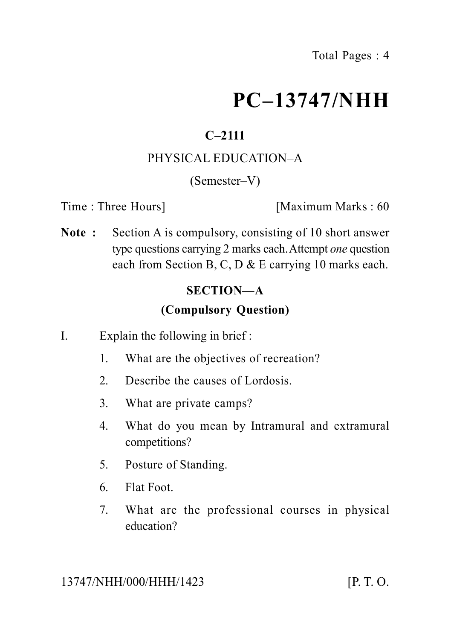# **PC–13747/NHH**

# **C–2111**

## PHYSICAL EDUCATION–A

(Semester–V)

Time : Three Hours **I** [Maximum Marks : 60]

**Note :** Section A is compulsory, consisting of 10 short answer type questions carrying 2 marks each.Attempt *one* question each from Section B, C, D & E carrying 10 marks each.

## **SECTION—A**

## **(Compulsory Question)**

- I. Explain the following in brief :
	- 1. What are the objectives of recreation?
	- 2. Describe the causes of Lordosis.
	- 3. What are private camps?
	- 4. What do you mean by Intramural and extramural competitions?
	- 5. Posture of Standing.
	- 6. Flat Foot.
	- 7. What are the professional courses in physical education?

13747/NHH/000/HHH/1423 [P. T. O.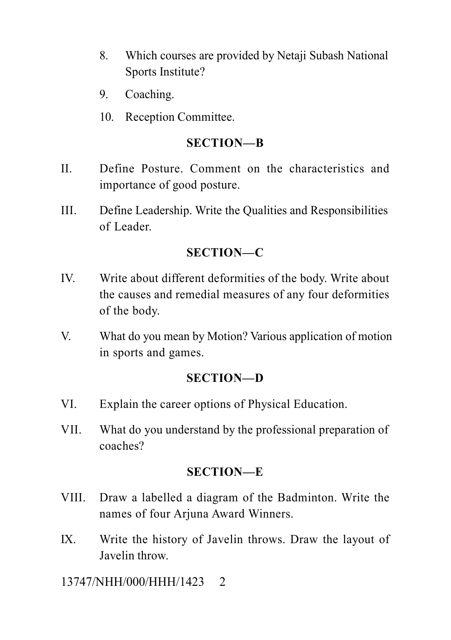- 8. Which courses are provided by Netaji Subash National Sports Institute?
- 9. Coaching.
- 10. Reception Committee.

#### **SECTION—B**

- II. Define Posture. Comment on the characteristics and importance of good posture.
- III. Define Leadership. Write the Qualities and Responsibilities of Leader.

### **SECTION—C**

- IV. Write about different deformities of the body. Write about the causes and remedial measures of any four deformities of the body.
- V. What do you mean by Motion? Various application of motion in sports and games.

#### **SECTION—D**

- VI. Explain the career options of Physical Education.
- VII. What do you understand by the professional preparation of coaches?

#### **SECTION—E**

- VIII. Draw a labelled a diagram of the Badminton. Write the names of four Arjuna Award Winners.
- IX. Write the history of Javelin throws. Draw the layout of Javelin throw.

13747/NHH/000/HHH/1423 2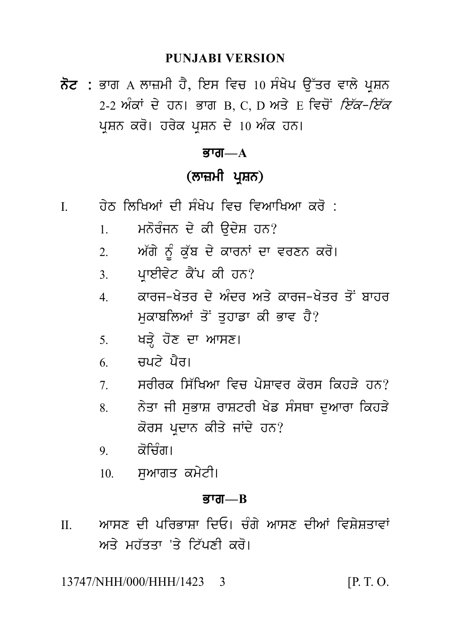#### **PUNJABI VERSION**

ਨੋਟ : ਭਾਗ A ਲਾਜ਼ਮੀ ਹੈ, ਇਸ ਵਿਚ 10 ਸੰਖੇਪ ਉੱਤਰ ਵਾਲੇ ਪਸ਼ਨ 2-2 ਅੰਕਾਂ ਦੇ ਹਨ। ਭਾਗ B C D ਅਤੇ F ਵਿਚੋਂ *ਇੱਕ-ਇੱਕ* ਪ੍ਰਸ਼ਨ ਕਰੋ। ਹਰੇਕ ਪ੍ਰਸ਼ਨ ਦੇ 10 ਅੰਕ ਹਨ।

#### **ਭਾਗ—** $A$

# (ਲਾਜ਼ਮੀ ਪਸ਼ਨ)

- <u>ਹੇਨ ਲਿਖਿਆਂ ਦੀ ਸੰਖੇਪ ਵਿਚ ਵਿਆਖਿਆ ਕਰੋ :</u>  $\mathbf{I}$ 
	- ਮਨੋਰੰਜਨ ਦੇ ਕੀ ੳਦੇਸ਼ ਹਨ?  $1<sub>1</sub>$
	- ਅੱਗੇ ਨੂੰ ਕੁੱਬ ਦੇ ਕਾਰਨਾਂ ਦਾ ਵਰਣਨ ਕਰੋ।  $2<sub>1</sub>$
	- ਪ੍ਰਾਈਵੇਟ ਕੈਂਪ ਕੀ ਹਨ?  $3<sub>1</sub>$
	- ਕਾਰਜ–ਖੇਤਰ ਦੇ ਅੰਦਰ ਅਤੇ ਕਾਰਜ–ਖੇਤਰ ਤੋਂ ਬਾਹਰ  $4<sup>1</sup>$ ਮੁਕਾਬਲਿਆਂ ਤੋਂ ਤਹਾਡਾ ਕੀ ਭਾਵ ਹੈ?
	- 5. ਖੜੇ ਹੋਣ ਦਾ ਆਸਣ।
	- $6 \qquad \overrightarrow{H}$ ਬਪ $\overrightarrow{I}$ ਪੈਰ।
	- ਸਰੀਰਕ ਸਿੱਖਿਆ ਵਿਚ ਪੇਸ਼ਾਵਰ ਕੋਰਸ ਕਿਹੜੇ ਹਨ?  $7\overline{ }$
	- ਨੇਤਾ ਜੀ ਸਭਾਸ਼ ਰਾਸ਼ਟਰੀ ਖੇਡ ਸੰਸਥਾ ਦਆਰਾ ਕਿਹੜੇ  $\mathbf{8}$ ਕੋਰਸ ਪਦਾਨ ਕੀਤੇ ਜਾਂਦੇ ਹਨ?
	- ਕੋਜਿੰਗ।  $\mathbf{Q}$
	- ਸਆਗਤ ਕਮੇਟੀ।  $10<sup>1</sup>$

#### ਕਾਗ $R$

ਆਸਣ ਦੀ ਪਰਿਕਾਸਾ ਦਿਓ। ਚੰਗੇ ਆਸਣ ਦੀਆਂ ਵਿਸੇਸਤਾਵਾਂ  $\Pi$ ਅਤੇ ਮਹੱਤਤਾ 'ਤੇ ਟਿੱਪਣੀ ਕਰੋ।

13747/NHH/000/HHH/1423  $[P, T, O]$  $\mathcal{R}$